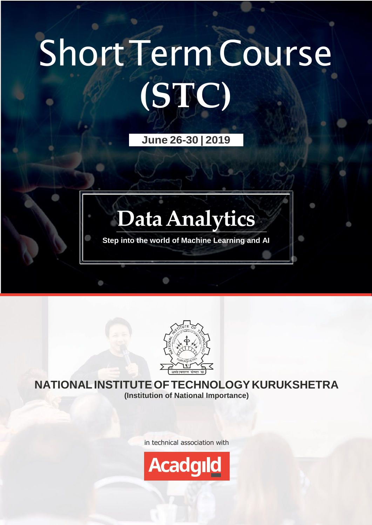# ShortTermCourse **(STC)**

**June 26-30 | 2019**

# **DataAnalytics**

**Step into the world of Machine Learning and AI**



#### **NATIONALINSTITUTEOFTECHNOLOGYKURUKSHETRA (Institution of National Importance)**

in technical association with

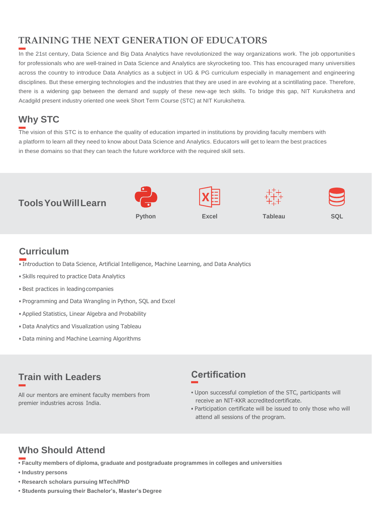#### **TRAINING THE NEXT GENERATION OF EDUCATORS**

In the 21st century, Data Science and Big Data Analytics have revolutionized the way organizations work. The job opportunities for professionals who are well-trained in Data Science and Analytics are skyrocketing too. This has encouraged many universities across the country to introduce Data Analytics as a subject in UG & PG curriculum especially in management and engineering disciplines. But these emerging technologies and the industries that they are used in are evolving at a scintillating pace. Therefore, there is a widening gap between the demand and supply of these new-age tech skills. To bridge this gap, NIT Kurukshetra and Acadgild present industry oriented one week Short Term Course (STC) at NIT Kurukshetra.

#### **Why STC**

The vision of this STC is to enhance the quality of education imparted in institutions by providing faculty members with a platform to learn all they need to know about Data Science and Analytics. Educators will get to learn the best practices in these domains so that they can teach the future workforce with the required skill sets.



#### **Curriculum**

- Introduction to Data Science, Artificial Intelligence, Machine Learning, and Data Analytics
- Skills required to practice Data Analytics
- Best practices in leading companies
- Programming and Data Wrangling in Python, SQL and Excel
- Applied Statistics, Linear Algebra and Probability
- Data Analytics and Visualization using Tableau
- Data mining and Machine Learning Algorithms

#### **Train with Leaders**

All our mentors are eminent faculty members from premier industries across India.

#### **Certification**

- **•** Upon successful completion of the STC, participants will receive an NIT-KKR accredited certificate.
- Participation certificate will be issued to only those who will attend all sessions of the program.

#### **Who Should Attend**

- **• Faculty members of diploma, graduate and postgraduate programmes in colleges and universities**
- **• Industry persons**
- **• Research scholars pursuing MTech/PhD**
- **• Students pursuing their Bachelor's, Master's Degree**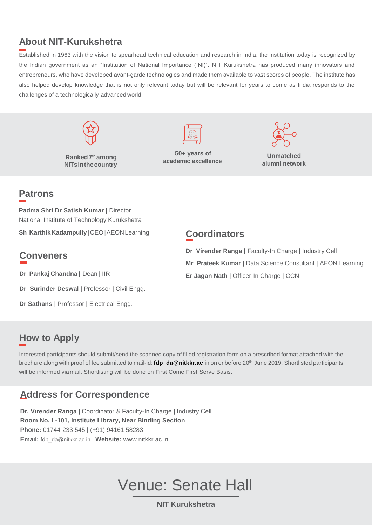#### **About NIT-Kurukshetra**

Established in 1963 with the vision to spearhead technical education and research in India, the institution today is recognized by the Indian government as an "Institution of National Importance (INI)". NIT Kurukshetra has produced many innovators and entrepreneurs, who have developed avant-garde technologies and made them available to vast scores of people. The institute has also helped develop knowledge that is not only relevant today but will be relevant for years to come as India responds to the challenges of a technologically advanced world.



**Ranked7 th among NITsinthecountry**



**50+ years of academic excellence**



**Unmatched alumni network**

#### **Patrons**

**Padma Shri Dr Satish Kumar |** Director National Institute of Technology Kurukshetra

**Sh KarthikKadampully**|CEO|AEONLearning

#### **Conveners**

**Dr Pankaj Chandna |** Dean | IIR

**Dr Surinder Deswal** | Professor | Civil Engg.

**Dr Sathans** | Professor | Electrical Engg.

#### **Coordinators**

**Dr Virender Ranga |** Faculty-In Charge | Industry Cell

- **Mr Prateek Kumar** | Data Science Consultant | AEON Learning
- **Er Jagan Nath** | Officer-In Charge | CCN

#### **How to Apply**

Interested participants should submit/send the scanned copy of filled registration form on a prescribed format attached with the brochure along with proof of fee submitted to mail-id: **[fdp\\_da@nitkkr.ac](mailto:fdp_da@nitkkr.ac.in)**.in on or before 20th June 2019. Shortlisted participants will be informed viamail. Shortlisting will be done on First Come First Serve Basis.

#### **Address for Correspondence**

**Dr. Virender Ranga** | Coordinator & Faculty-In Charge | Industry Cell **Room No. L-101, Institute Library, Near Binding Section Phone:** 01744-233 545 | (+91) 94161 58283 **Email:** [fdp\\_da@nitkkr.ac.in](mailto:fdp_da@nitkkr.ac.in) | **Website:** [www.nitkkr.ac.in](http://www.nitkkr.ac.in/)

## Venue: Senate Hall

**NIT Kurukshetra**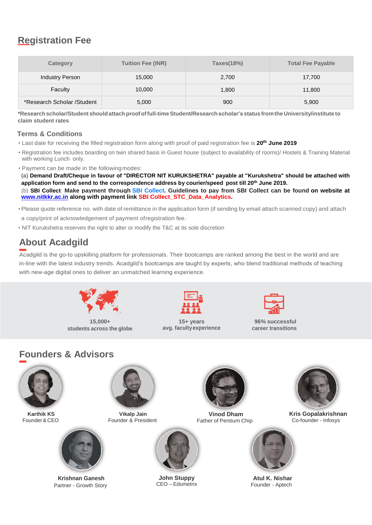#### **Registration Fee**

| Category                    | <b>Tuition Fee (INR)</b> | Taxes(18%) | <b>Total Fee Payable</b> |
|-----------------------------|--------------------------|------------|--------------------------|
| <b>Industry Person</b>      | 15,000                   | 2,700      | 17,700                   |
| Faculty                     | 10,000                   | 1,800      | 11,800                   |
| *Research Scholar / Student | 5,000                    | 900        | 5,900                    |

**\*Researchscholar/Student shouldattachproofoffull-timeStudent/Researchscholar'sstatus fromtheUniversity/institute to claim student rates**

#### **Terms & Conditions**

- Last date for receiving the filled registration form along with proof of paid registration fee is **20th June 2019**
- Registration fee includes boarding on twin shared basis in Guest house (subject to availability of rooms)/ Hostels & Training Material with working Lunch only.
- Payment can be made in the following modes:

**(a) Demand Draft/Cheque in favour of "DIRECTOR NIT KURUKSHETRA" payable at "Kurukshetra" should be attached with application form and send to the correspondence address by courier/speed post till 20th June 2019.** (b) **SBI Collect**: **Make payment through [SBI Collect.](https://www.onlinesbi.com/sbicollect/icollecthome.htm) Guidelines to pay from SBI Collect can be found on website at [www.nitkkr.ac.in](http://www.nitkkr.ac.in/) along with payment link SBI Collect\_STC\_Data\_Analytics.**

• Please quote reference no. with date of remittance in the application form (if sending by email attach scanned copy) and attach

a copy/print of acknowledgement of payment ofregistration fee.

• NIT Kurukshetra reserves the right to alter or modify the T&C at its sole discretion

#### **About Acadgild**

Acadgild is the go-to upskilling platform for professionals. Their bootcamps are ranked among the best in the world and are in-line with the latest industry trends. Acadgild's bootcamps are taught by experts, who blend traditional methods of teaching with new-age digital ones to deliver an unmatched learning experience.



**15,000+ students across the globe**



**15+ years avg. facultyexperience**



**96% successful career transitions**

#### **Founders & Advisors**





**Krishnan Ganesh** Partner - Growth Story





**John Stuppy** CEO – Edumetrix



Founder & CEO Founder & President Father of Pentium Chip **Karthik KS Vikalp Jain Vinod Dham**



**Kris Gopalakrishnan** Co-founder - Infosys



**Atul K. Nishar** Founder - Aptech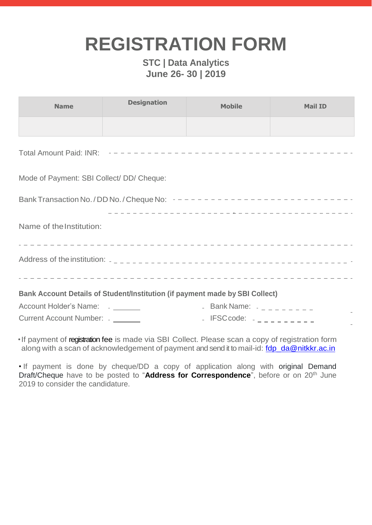## **REGISTRATION FORM**

#### **STC | Data Analytics June 26- 30 | 2019**

| <b>Name</b>                                                                                            | <b>Designation</b> | <b>Mobile</b>            | <b>Mail ID</b> |  |
|--------------------------------------------------------------------------------------------------------|--------------------|--------------------------|----------------|--|
|                                                                                                        |                    |                          |                |  |
|                                                                                                        |                    |                          |                |  |
| Mode of Payment: SBI Collect/ DD/ Cheque:                                                              |                    |                          |                |  |
| Bank Transaction No. / DD No. / Cheque No: $- - - - - - - - - - - - - - - - - - - - - - - - - - - - -$ |                    |                          |                |  |
| Name of the Institution:                                                                               |                    |                          |                |  |
|                                                                                                        |                    |                          |                |  |
| Bank Account Details of Student/Institution (if payment made by SBI Collect)                           |                    |                          |                |  |
| Account Holder's Name: _ _ _ _ _ _                                                                     |                    | - Bank Name: $        -$ |                |  |
| Current Account Number: _ _ _ _ _ _                                                                    |                    |                          |                |  |

•If payment of registration fee is made via SBI Collect. Please scan a copy of registration form along with a scan of acknowledgement of payment and send it to mail-id: [fdp\\_da@nitkkr.ac.in](mailto:fdp_da@nitkkr.ac.in)

• If payment is done by cheque/DD a copy of application along with original Demand Draft/Cheque have to be posted to "**Address for Correspondence**", before or on 20th June 2019 to consider the candidature.